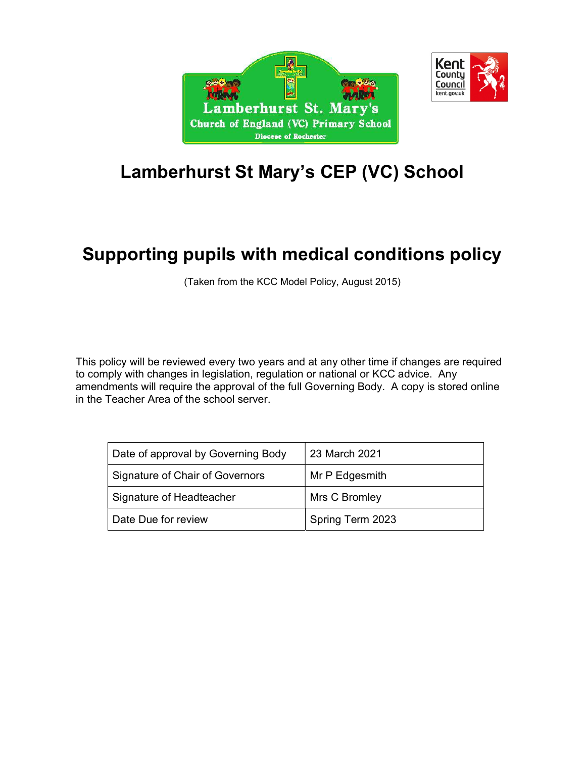



# Lamberhurst St Mary's CEP (VC) School

# Supporting pupils with medical conditions policy

(Taken from the KCC Model Policy, August 2015)

This policy will be reviewed every two years and at any other time if changes are required to comply with changes in legislation, regulation or national or KCC advice. Any amendments will require the approval of the full Governing Body. A copy is stored online in the Teacher Area of the school server.

| Date of approval by Governing Body | 23 March 2021    |
|------------------------------------|------------------|
| Signature of Chair of Governors    | Mr P Edgesmith   |
| Signature of Headteacher           | Mrs C Bromley    |
| Date Due for review                | Spring Term 2023 |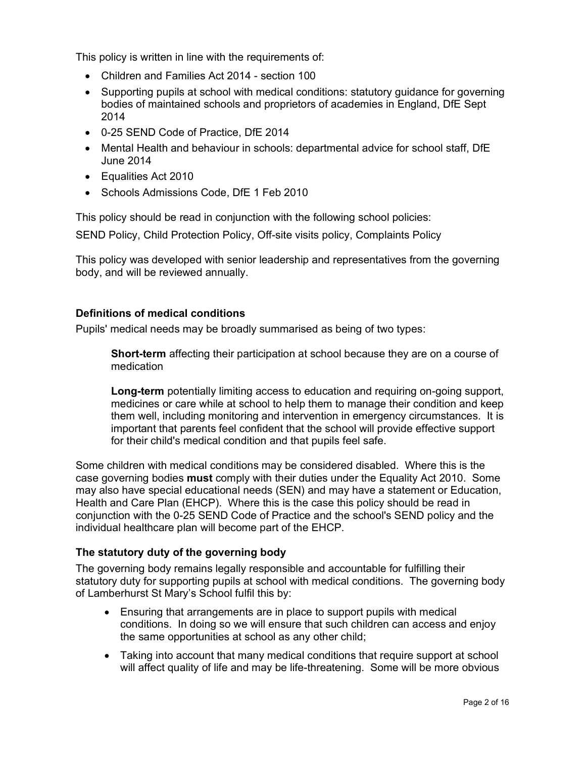This policy is written in line with the requirements of:

- Children and Families Act 2014 section 100
- Supporting pupils at school with medical conditions: statutory guidance for governing bodies of maintained schools and proprietors of academies in England, DfE Sept 2014
- 0-25 SEND Code of Practice, DfE 2014
- Mental Health and behaviour in schools: departmental advice for school staff, DfE June 2014
- Equalities Act 2010
- Schools Admissions Code, DfE 1 Feb 2010

This policy should be read in conjunction with the following school policies:

SEND Policy, Child Protection Policy, Off-site visits policy, Complaints Policy

This policy was developed with senior leadership and representatives from the governing body, and will be reviewed annually.

#### Definitions of medical conditions

Pupils' medical needs may be broadly summarised as being of two types:

**Short-term** affecting their participation at school because they are on a course of medication

Long-term potentially limiting access to education and requiring on-going support, medicines or care while at school to help them to manage their condition and keep them well, including monitoring and intervention in emergency circumstances. It is important that parents feel confident that the school will provide effective support for their child's medical condition and that pupils feel safe.

Some children with medical conditions may be considered disabled. Where this is the case governing bodies **must** comply with their duties under the Equality Act 2010. Some may also have special educational needs (SEN) and may have a statement or Education, Health and Care Plan (EHCP). Where this is the case this policy should be read in conjunction with the 0-25 SEND Code of Practice and the school's SEND policy and the individual healthcare plan will become part of the EHCP.

#### The statutory duty of the governing body

The governing body remains legally responsible and accountable for fulfilling their statutory duty for supporting pupils at school with medical conditions. The governing body of Lamberhurst St Mary's School fulfil this by:

- Ensuring that arrangements are in place to support pupils with medical conditions. In doing so we will ensure that such children can access and enjoy the same opportunities at school as any other child;
- Taking into account that many medical conditions that require support at school will affect quality of life and may be life-threatening. Some will be more obvious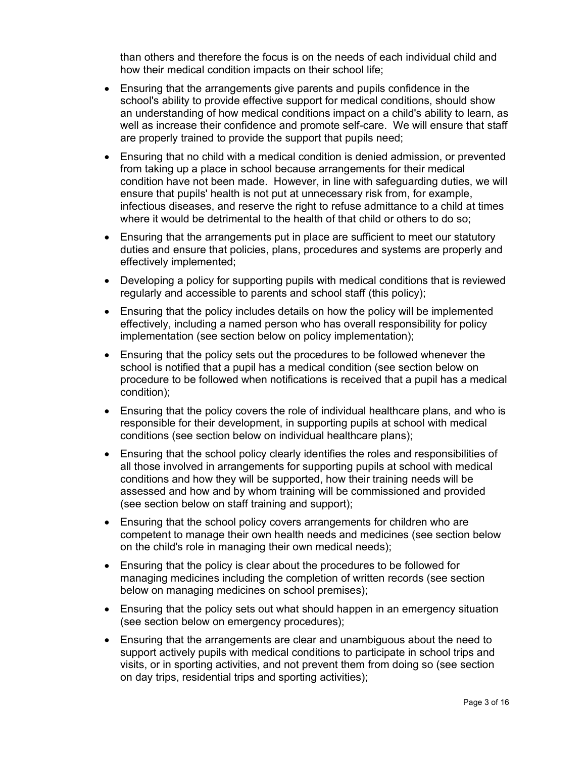than others and therefore the focus is on the needs of each individual child and how their medical condition impacts on their school life;

- Ensuring that the arrangements give parents and pupils confidence in the school's ability to provide effective support for medical conditions, should show an understanding of how medical conditions impact on a child's ability to learn, as well as increase their confidence and promote self-care. We will ensure that staff are properly trained to provide the support that pupils need;
- Ensuring that no child with a medical condition is denied admission, or prevented from taking up a place in school because arrangements for their medical condition have not been made. However, in line with safeguarding duties, we will ensure that pupils' health is not put at unnecessary risk from, for example, infectious diseases, and reserve the right to refuse admittance to a child at times where it would be detrimental to the health of that child or others to do so;
- Ensuring that the arrangements put in place are sufficient to meet our statutory duties and ensure that policies, plans, procedures and systems are properly and effectively implemented;
- Developing a policy for supporting pupils with medical conditions that is reviewed regularly and accessible to parents and school staff (this policy);
- Ensuring that the policy includes details on how the policy will be implemented effectively, including a named person who has overall responsibility for policy implementation (see section below on policy implementation);
- Ensuring that the policy sets out the procedures to be followed whenever the school is notified that a pupil has a medical condition (see section below on procedure to be followed when notifications is received that a pupil has a medical condition);
- Ensuring that the policy covers the role of individual healthcare plans, and who is responsible for their development, in supporting pupils at school with medical conditions (see section below on individual healthcare plans);
- Ensuring that the school policy clearly identifies the roles and responsibilities of all those involved in arrangements for supporting pupils at school with medical conditions and how they will be supported, how their training needs will be assessed and how and by whom training will be commissioned and provided (see section below on staff training and support);
- Ensuring that the school policy covers arrangements for children who are competent to manage their own health needs and medicines (see section below on the child's role in managing their own medical needs);
- Ensuring that the policy is clear about the procedures to be followed for managing medicines including the completion of written records (see section below on managing medicines on school premises);
- Ensuring that the policy sets out what should happen in an emergency situation (see section below on emergency procedures);
- Ensuring that the arrangements are clear and unambiguous about the need to support actively pupils with medical conditions to participate in school trips and visits, or in sporting activities, and not prevent them from doing so (see section on day trips, residential trips and sporting activities);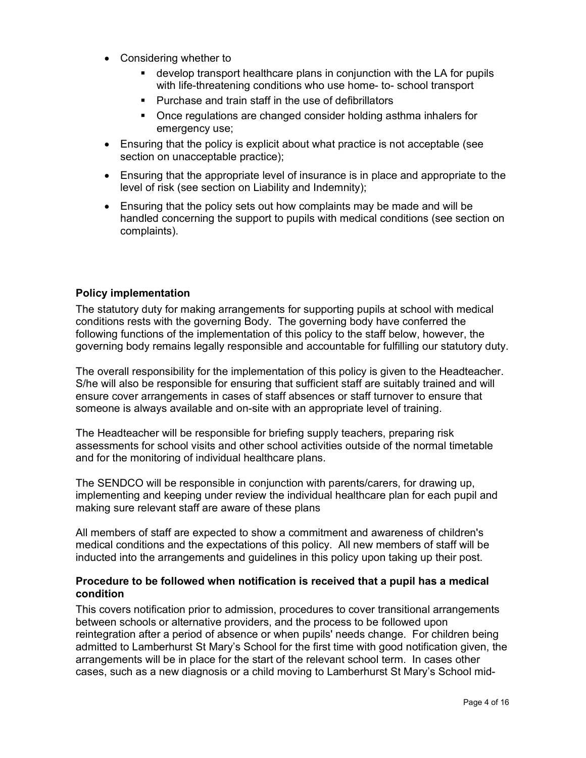- Considering whether to
	- develop transport healthcare plans in conjunction with the LA for pupils with life-threatening conditions who use home- to- school transport
	- Purchase and train staff in the use of defibrillators
	- Once regulations are changed consider holding asthma inhalers for emergency use;
- Ensuring that the policy is explicit about what practice is not acceptable (see section on unacceptable practice);
- Ensuring that the appropriate level of insurance is in place and appropriate to the level of risk (see section on Liability and Indemnity);
- Ensuring that the policy sets out how complaints may be made and will be handled concerning the support to pupils with medical conditions (see section on complaints).

#### Policy implementation

The statutory duty for making arrangements for supporting pupils at school with medical conditions rests with the governing Body. The governing body have conferred the following functions of the implementation of this policy to the staff below, however, the governing body remains legally responsible and accountable for fulfilling our statutory duty.

The overall responsibility for the implementation of this policy is given to the Headteacher. S/he will also be responsible for ensuring that sufficient staff are suitably trained and will ensure cover arrangements in cases of staff absences or staff turnover to ensure that someone is always available and on-site with an appropriate level of training.

The Headteacher will be responsible for briefing supply teachers, preparing risk assessments for school visits and other school activities outside of the normal timetable and for the monitoring of individual healthcare plans.

The SENDCO will be responsible in conjunction with parents/carers, for drawing up, implementing and keeping under review the individual healthcare plan for each pupil and making sure relevant staff are aware of these plans

All members of staff are expected to show a commitment and awareness of children's medical conditions and the expectations of this policy. All new members of staff will be inducted into the arrangements and guidelines in this policy upon taking up their post.

#### Procedure to be followed when notification is received that a pupil has a medical condition

This covers notification prior to admission, procedures to cover transitional arrangements between schools or alternative providers, and the process to be followed upon reintegration after a period of absence or when pupils' needs change. For children being admitted to Lamberhurst St Mary's School for the first time with good notification given, the arrangements will be in place for the start of the relevant school term. In cases other cases, such as a new diagnosis or a child moving to Lamberhurst St Mary's School mid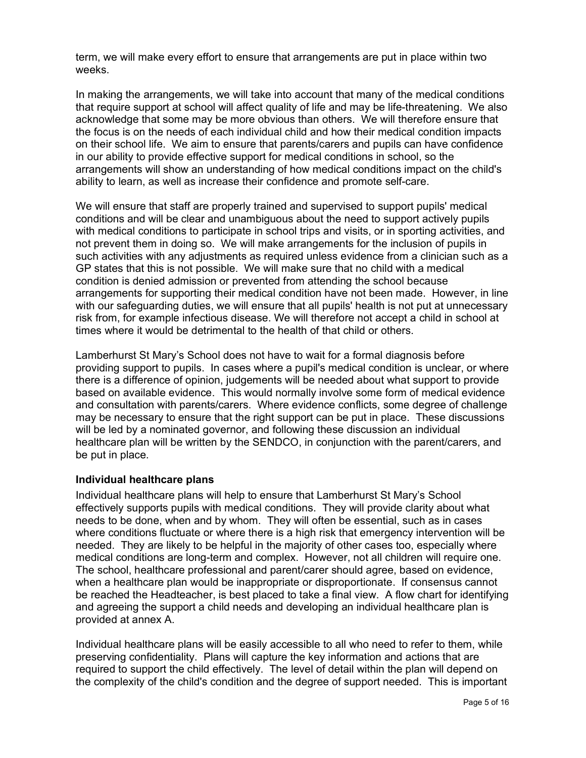term, we will make every effort to ensure that arrangements are put in place within two weeks.

In making the arrangements, we will take into account that many of the medical conditions that require support at school will affect quality of life and may be life-threatening. We also acknowledge that some may be more obvious than others. We will therefore ensure that the focus is on the needs of each individual child and how their medical condition impacts on their school life. We aim to ensure that parents/carers and pupils can have confidence in our ability to provide effective support for medical conditions in school, so the arrangements will show an understanding of how medical conditions impact on the child's ability to learn, as well as increase their confidence and promote self-care.

We will ensure that staff are properly trained and supervised to support pupils' medical conditions and will be clear and unambiguous about the need to support actively pupils with medical conditions to participate in school trips and visits, or in sporting activities, and not prevent them in doing so. We will make arrangements for the inclusion of pupils in such activities with any adjustments as required unless evidence from a clinician such as a GP states that this is not possible. We will make sure that no child with a medical condition is denied admission or prevented from attending the school because arrangements for supporting their medical condition have not been made. However, in line with our safeguarding duties, we will ensure that all pupils' health is not put at unnecessary risk from, for example infectious disease. We will therefore not accept a child in school at times where it would be detrimental to the health of that child or others.

Lamberhurst St Mary's School does not have to wait for a formal diagnosis before providing support to pupils. In cases where a pupil's medical condition is unclear, or where there is a difference of opinion, judgements will be needed about what support to provide based on available evidence. This would normally involve some form of medical evidence and consultation with parents/carers. Where evidence conflicts, some degree of challenge may be necessary to ensure that the right support can be put in place. These discussions will be led by a nominated governor, and following these discussion an individual healthcare plan will be written by the SENDCO, in conjunction with the parent/carers, and be put in place.

#### Individual healthcare plans

Individual healthcare plans will help to ensure that Lamberhurst St Mary's School effectively supports pupils with medical conditions. They will provide clarity about what needs to be done, when and by whom. They will often be essential, such as in cases where conditions fluctuate or where there is a high risk that emergency intervention will be needed. They are likely to be helpful in the majority of other cases too, especially where medical conditions are long-term and complex. However, not all children will require one. The school, healthcare professional and parent/carer should agree, based on evidence, when a healthcare plan would be inappropriate or disproportionate. If consensus cannot be reached the Headteacher, is best placed to take a final view. A flow chart for identifying and agreeing the support a child needs and developing an individual healthcare plan is provided at annex A.

Individual healthcare plans will be easily accessible to all who need to refer to them, while preserving confidentiality. Plans will capture the key information and actions that are required to support the child effectively. The level of detail within the plan will depend on the complexity of the child's condition and the degree of support needed. This is important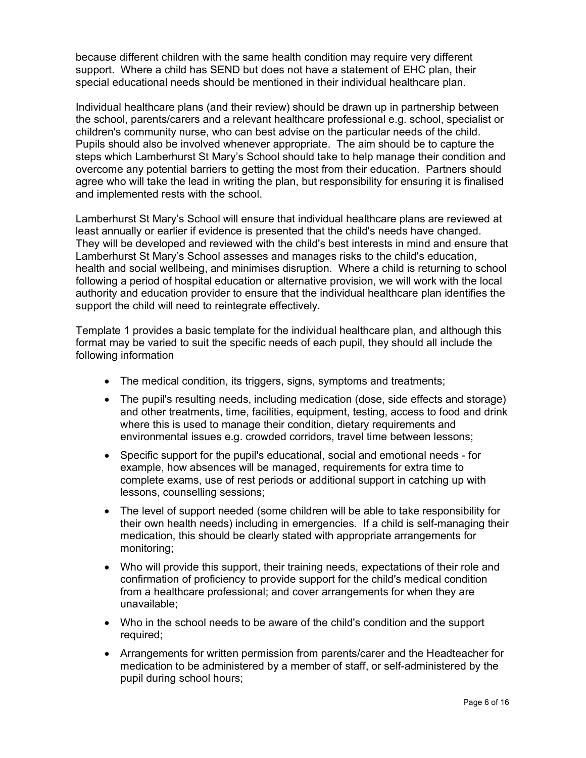because different children with the same health condition may require very different support. Where a child has SEND but does not have a statement of EHC plan, their special educational needs should be mentioned in their individual healthcare plan.

Individual healthcare plans (and their review) should be drawn up in partnership between the school, parents/carers and a relevant healthcare professional e.g. school, specialist or children's community nurse, who can best advise on the particular needs of the child. Pupils should also be involved whenever appropriate. The aim should be to capture the steps which Lamberhurst St Mary's School should take to help manage their condition and overcome any potential barriers to getting the most from their education. Partners should agree who will take the lead in writing the plan, but responsibility for ensuring it is finalised and implemented rests with the school.

Lamberhurst St Mary's School will ensure that individual healthcare plans are reviewed at least annually or earlier if evidence is presented that the child's needs have changed. They will be developed and reviewed with the child's best interests in mind and ensure that Lamberhurst St Mary's School assesses and manages risks to the child's education, health and social wellbeing, and minimises disruption. Where a child is returning to school following a period of hospital education or alternative provision, we will work with the local authority and education provider to ensure that the individual healthcare plan identifies the support the child will need to reintegrate effectively.

Template 1 provides a basic template for the individual healthcare plan, and although this format may be varied to suit the specific needs of each pupil, they should all include the following information

- The medical condition, its triggers, signs, symptoms and treatments;
- The pupil's resulting needs, including medication (dose, side effects and storage) and other treatments, time, facilities, equipment, testing, access to food and drink where this is used to manage their condition, dietary requirements and environmental issues e.g. crowded corridors, travel time between lessons;
- Specific support for the pupil's educational, social and emotional needs for example, how absences will be managed, requirements for extra time to complete exams, use of rest periods or additional support in catching up with lessons, counselling sessions;
- The level of support needed (some children will be able to take responsibility for their own health needs) including in emergencies. If a child is self-managing their medication, this should be clearly stated with appropriate arrangements for monitoring;
- Who will provide this support, their training needs, expectations of their role and confirmation of proficiency to provide support for the child's medical condition from a healthcare professional; and cover arrangements for when they are unavailable;
- Who in the school needs to be aware of the child's condition and the support required;
- Arrangements for written permission from parents/carer and the Headteacher for medication to be administered by a member of staff, or self-administered by the pupil during school hours;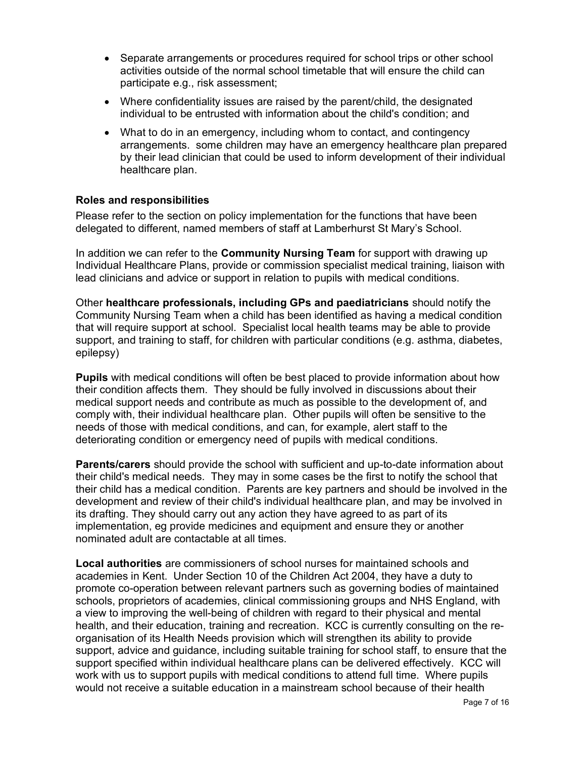- Separate arrangements or procedures required for school trips or other school activities outside of the normal school timetable that will ensure the child can participate e.g., risk assessment;
- Where confidentiality issues are raised by the parent/child, the designated individual to be entrusted with information about the child's condition; and
- What to do in an emergency, including whom to contact, and contingency arrangements. some children may have an emergency healthcare plan prepared by their lead clinician that could be used to inform development of their individual healthcare plan.

#### Roles and responsibilities

Please refer to the section on policy implementation for the functions that have been delegated to different, named members of staff at Lamberhurst St Mary's School.

In addition we can refer to the **Community Nursing Team** for support with drawing up Individual Healthcare Plans, provide or commission specialist medical training, liaison with lead clinicians and advice or support in relation to pupils with medical conditions.

Other healthcare professionals, including GPs and paediatricians should notify the Community Nursing Team when a child has been identified as having a medical condition that will require support at school. Specialist local health teams may be able to provide support, and training to staff, for children with particular conditions (e.g. asthma, diabetes, epilepsy)

Pupils with medical conditions will often be best placed to provide information about how their condition affects them. They should be fully involved in discussions about their medical support needs and contribute as much as possible to the development of, and comply with, their individual healthcare plan. Other pupils will often be sensitive to the needs of those with medical conditions, and can, for example, alert staff to the deteriorating condition or emergency need of pupils with medical conditions.

**Parents/carers** should provide the school with sufficient and up-to-date information about their child's medical needs. They may in some cases be the first to notify the school that their child has a medical condition. Parents are key partners and should be involved in the development and review of their child's individual healthcare plan, and may be involved in its drafting. They should carry out any action they have agreed to as part of its implementation, eg provide medicines and equipment and ensure they or another nominated adult are contactable at all times.

Local authorities are commissioners of school nurses for maintained schools and academies in Kent. Under Section 10 of the Children Act 2004, they have a duty to promote co-operation between relevant partners such as governing bodies of maintained schools, proprietors of academies, clinical commissioning groups and NHS England, with a view to improving the well-being of children with regard to their physical and mental health, and their education, training and recreation. KCC is currently consulting on the reorganisation of its Health Needs provision which will strengthen its ability to provide support, advice and guidance, including suitable training for school staff, to ensure that the support specified within individual healthcare plans can be delivered effectively. KCC will work with us to support pupils with medical conditions to attend full time. Where pupils would not receive a suitable education in a mainstream school because of their health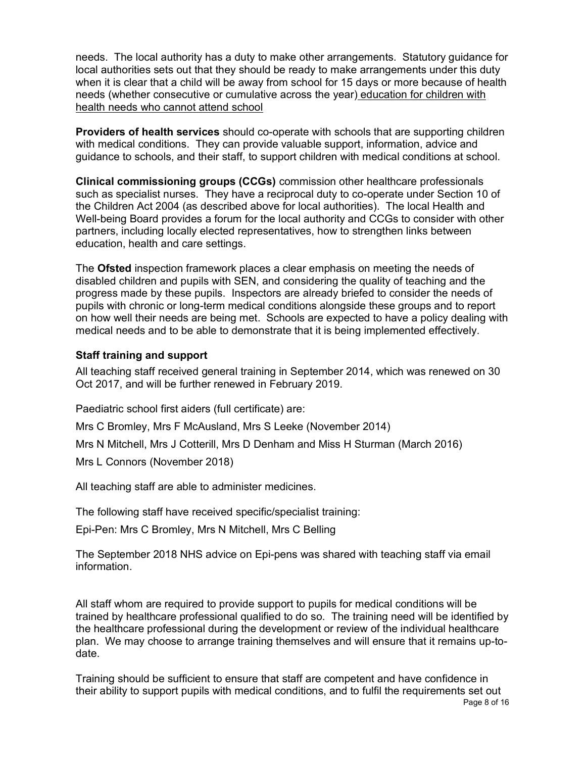needs. The local authority has a duty to make other arrangements. Statutory guidance for local authorities sets out that they should be ready to make arrangements under this duty when it is clear that a child will be away from school for 15 days or more because of health needs (whether consecutive or cumulative across the year) education for children with health needs who cannot attend school

Providers of health services should co-operate with schools that are supporting children with medical conditions. They can provide valuable support, information, advice and guidance to schools, and their staff, to support children with medical conditions at school.

Clinical commissioning groups (CCGs) commission other healthcare professionals such as specialist nurses. They have a reciprocal duty to co-operate under Section 10 of the Children Act 2004 (as described above for local authorities). The local Health and Well-being Board provides a forum for the local authority and CCGs to consider with other partners, including locally elected representatives, how to strengthen links between education, health and care settings.

The Ofsted inspection framework places a clear emphasis on meeting the needs of disabled children and pupils with SEN, and considering the quality of teaching and the progress made by these pupils. Inspectors are already briefed to consider the needs of pupils with chronic or long-term medical conditions alongside these groups and to report on how well their needs are being met. Schools are expected to have a policy dealing with medical needs and to be able to demonstrate that it is being implemented effectively.

#### Staff training and support

All teaching staff received general training in September 2014, which was renewed on 30 Oct 2017, and will be further renewed in February 2019.

Paediatric school first aiders (full certificate) are:

Mrs C Bromley, Mrs F McAusland, Mrs S Leeke (November 2014)

Mrs N Mitchell, Mrs J Cotterill, Mrs D Denham and Miss H Sturman (March 2016)

Mrs L Connors (November 2018)

All teaching staff are able to administer medicines.

The following staff have received specific/specialist training:

Epi-Pen: Mrs C Bromley, Mrs N Mitchell, Mrs C Belling

The September 2018 NHS advice on Epi-pens was shared with teaching staff via email information.

All staff whom are required to provide support to pupils for medical conditions will be trained by healthcare professional qualified to do so. The training need will be identified by the healthcare professional during the development or review of the individual healthcare plan. We may choose to arrange training themselves and will ensure that it remains up-todate.

Training should be sufficient to ensure that staff are competent and have confidence in their ability to support pupils with medical conditions, and to fulfil the requirements set out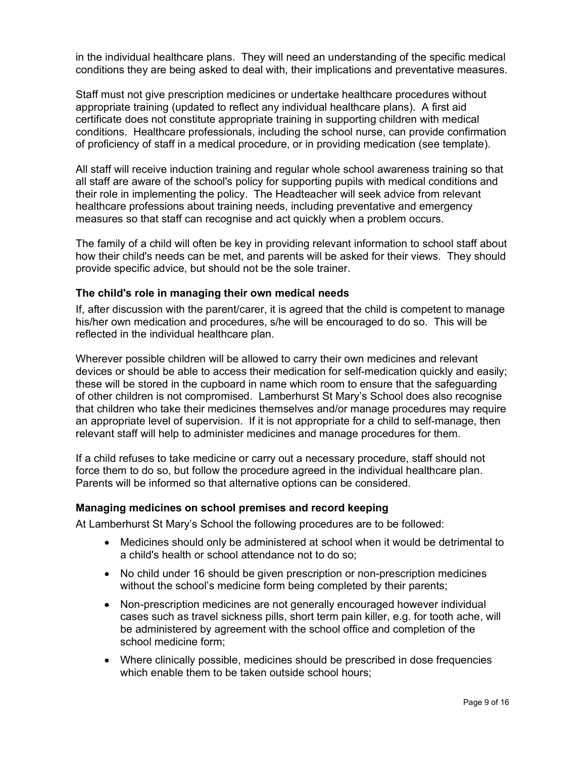in the individual healthcare plans. They will need an understanding of the specific medical conditions they are being asked to deal with, their implications and preventative measures.

Staff must not give prescription medicines or undertake healthcare procedures without appropriate training (updated to reflect any individual healthcare plans). A first aid certificate does not constitute appropriate training in supporting children with medical conditions. Healthcare professionals, including the school nurse, can provide confirmation of proficiency of staff in a medical procedure, or in providing medication (see template).

All staff will receive induction training and regular whole school awareness training so that all staff are aware of the school's policy for supporting pupils with medical conditions and their role in implementing the policy. The Headteacher will seek advice from relevant healthcare professions about training needs, including preventative and emergency measures so that staff can recognise and act quickly when a problem occurs.

The family of a child will often be key in providing relevant information to school staff about how their child's needs can be met, and parents will be asked for their views. They should provide specific advice, but should not be the sole trainer.

#### The child's role in managing their own medical needs

If, after discussion with the parent/carer, it is agreed that the child is competent to manage his/her own medication and procedures, s/he will be encouraged to do so. This will be reflected in the individual healthcare plan.

Wherever possible children will be allowed to carry their own medicines and relevant devices or should be able to access their medication for self-medication quickly and easily; these will be stored in the cupboard in name which room to ensure that the safeguarding of other children is not compromised. Lamberhurst St Mary's School does also recognise that children who take their medicines themselves and/or manage procedures may require an appropriate level of supervision. If it is not appropriate for a child to self-manage, then relevant staff will help to administer medicines and manage procedures for them.

If a child refuses to take medicine or carry out a necessary procedure, staff should not force them to do so, but follow the procedure agreed in the individual healthcare plan. Parents will be informed so that alternative options can be considered.

#### Managing medicines on school premises and record keeping

At Lamberhurst St Mary's School the following procedures are to be followed:

- Medicines should only be administered at school when it would be detrimental to a child's health or school attendance not to do so;
- No child under 16 should be given prescription or non-prescription medicines without the school's medicine form being completed by their parents;
- Non-prescription medicines are not generally encouraged however individual cases such as travel sickness pills, short term pain killer, e.g. for tooth ache, will be administered by agreement with the school office and completion of the school medicine form;
- Where clinically possible, medicines should be prescribed in dose frequencies which enable them to be taken outside school hours;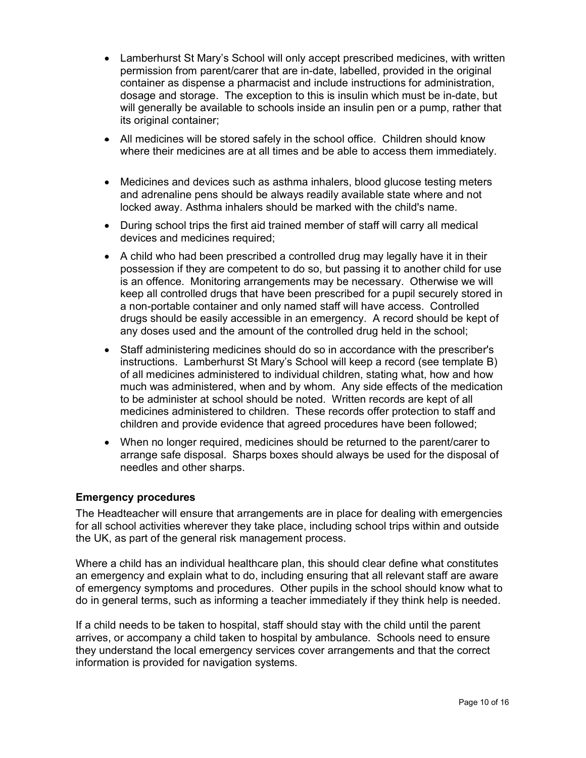- Lamberhurst St Mary's School will only accept prescribed medicines, with written permission from parent/carer that are in-date, labelled, provided in the original container as dispense a pharmacist and include instructions for administration, dosage and storage. The exception to this is insulin which must be in-date, but will generally be available to schools inside an insulin pen or a pump, rather that its original container;
- All medicines will be stored safely in the school office. Children should know where their medicines are at all times and be able to access them immediately.
- Medicines and devices such as asthma inhalers, blood glucose testing meters and adrenaline pens should be always readily available state where and not locked away. Asthma inhalers should be marked with the child's name.
- During school trips the first aid trained member of staff will carry all medical devices and medicines required;
- A child who had been prescribed a controlled drug may legally have it in their possession if they are competent to do so, but passing it to another child for use is an offence. Monitoring arrangements may be necessary. Otherwise we will keep all controlled drugs that have been prescribed for a pupil securely stored in a non-portable container and only named staff will have access. Controlled drugs should be easily accessible in an emergency. A record should be kept of any doses used and the amount of the controlled drug held in the school;
- Staff administering medicines should do so in accordance with the prescriber's instructions. Lamberhurst St Mary's School will keep a record (see template B) of all medicines administered to individual children, stating what, how and how much was administered, when and by whom. Any side effects of the medication to be administer at school should be noted. Written records are kept of all medicines administered to children. These records offer protection to staff and children and provide evidence that agreed procedures have been followed;
- When no longer required, medicines should be returned to the parent/carer to arrange safe disposal. Sharps boxes should always be used for the disposal of needles and other sharps.

#### Emergency procedures

The Headteacher will ensure that arrangements are in place for dealing with emergencies for all school activities wherever they take place, including school trips within and outside the UK, as part of the general risk management process.

Where a child has an individual healthcare plan, this should clear define what constitutes an emergency and explain what to do, including ensuring that all relevant staff are aware of emergency symptoms and procedures. Other pupils in the school should know what to do in general terms, such as informing a teacher immediately if they think help is needed.

If a child needs to be taken to hospital, staff should stay with the child until the parent arrives, or accompany a child taken to hospital by ambulance. Schools need to ensure they understand the local emergency services cover arrangements and that the correct information is provided for navigation systems.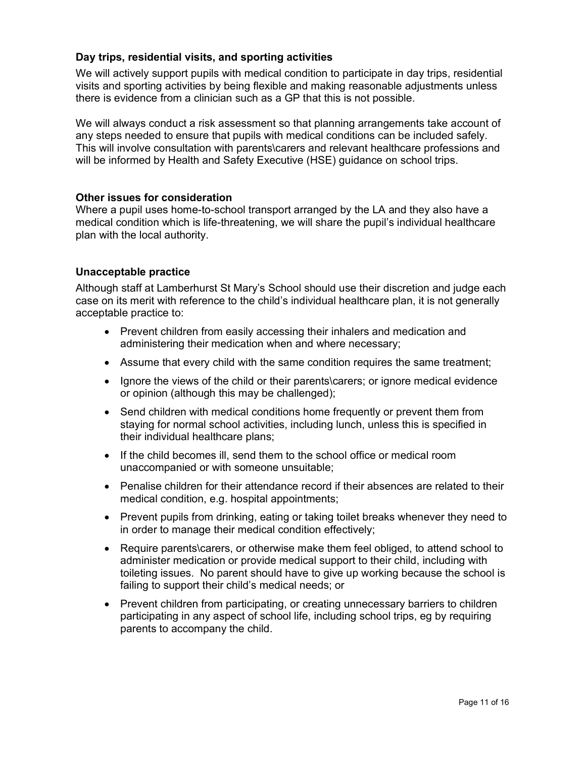### Day trips, residential visits, and sporting activities

We will actively support pupils with medical condition to participate in day trips, residential visits and sporting activities by being flexible and making reasonable adjustments unless there is evidence from a clinician such as a GP that this is not possible.

We will always conduct a risk assessment so that planning arrangements take account of any steps needed to ensure that pupils with medical conditions can be included safely. This will involve consultation with parents\carers and relevant healthcare professions and will be informed by Health and Safety Executive (HSE) guidance on school trips.

#### Other issues for consideration

Where a pupil uses home-to-school transport arranged by the LA and they also have a medical condition which is life-threatening, we will share the pupil's individual healthcare plan with the local authority.

#### Unacceptable practice

Although staff at Lamberhurst St Mary's School should use their discretion and judge each case on its merit with reference to the child's individual healthcare plan, it is not generally acceptable practice to:

- Prevent children from easily accessing their inhalers and medication and administering their medication when and where necessary;
- Assume that every child with the same condition requires the same treatment;
- Ignore the views of the child or their parents\carers; or ignore medical evidence or opinion (although this may be challenged);
- Send children with medical conditions home frequently or prevent them from staying for normal school activities, including lunch, unless this is specified in their individual healthcare plans;
- If the child becomes ill, send them to the school office or medical room unaccompanied or with someone unsuitable;
- Penalise children for their attendance record if their absences are related to their medical condition, e.g. hospital appointments;
- Prevent pupils from drinking, eating or taking toilet breaks whenever they need to in order to manage their medical condition effectively;
- Require parents\carers, or otherwise make them feel obliged, to attend school to administer medication or provide medical support to their child, including with toileting issues. No parent should have to give up working because the school is failing to support their child's medical needs; or
- Prevent children from participating, or creating unnecessary barriers to children participating in any aspect of school life, including school trips, eg by requiring parents to accompany the child.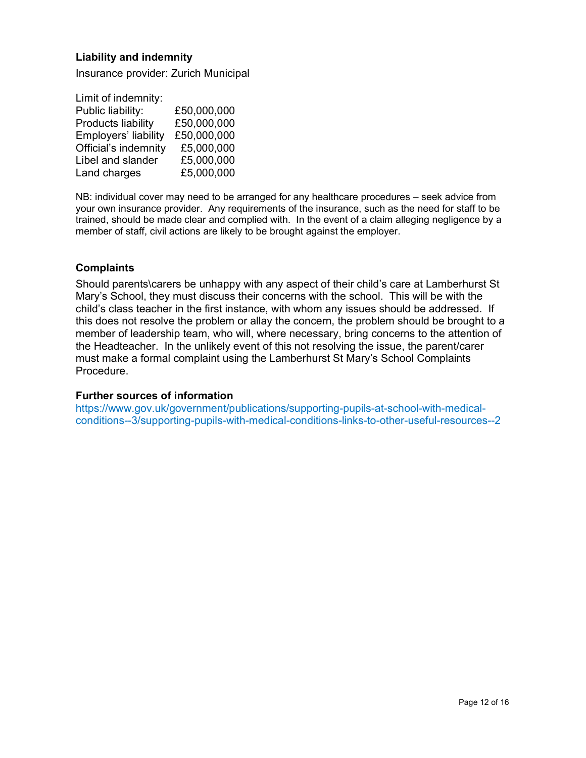#### Liability and indemnity

Insurance provider: Zurich Municipal

| Limit of indemnity:  |             |
|----------------------|-------------|
| Public liability:    | £50,000,000 |
| Products liability   | £50,000,000 |
| Employers' liability | £50,000,000 |
| Official's indemnity | £5,000,000  |
| Libel and slander    | £5,000,000  |
| Land charges         | £5,000,000  |

NB: individual cover may need to be arranged for any healthcare procedures – seek advice from your own insurance provider. Any requirements of the insurance, such as the need for staff to be trained, should be made clear and complied with. In the event of a claim alleging negligence by a member of staff, civil actions are likely to be brought against the employer.

#### **Complaints**

Should parents\carers be unhappy with any aspect of their child's care at Lamberhurst St Mary's School, they must discuss their concerns with the school. This will be with the child's class teacher in the first instance, with whom any issues should be addressed. If this does not resolve the problem or allay the concern, the problem should be brought to a member of leadership team, who will, where necessary, bring concerns to the attention of the Headteacher. In the unlikely event of this not resolving the issue, the parent/carer must make a formal complaint using the Lamberhurst St Mary's School Complaints Procedure.

#### Further sources of information

https://www.gov.uk/government/publications/supporting-pupils-at-school-with-medicalconditions--3/supporting-pupils-with-medical-conditions-links-to-other-useful-resources--2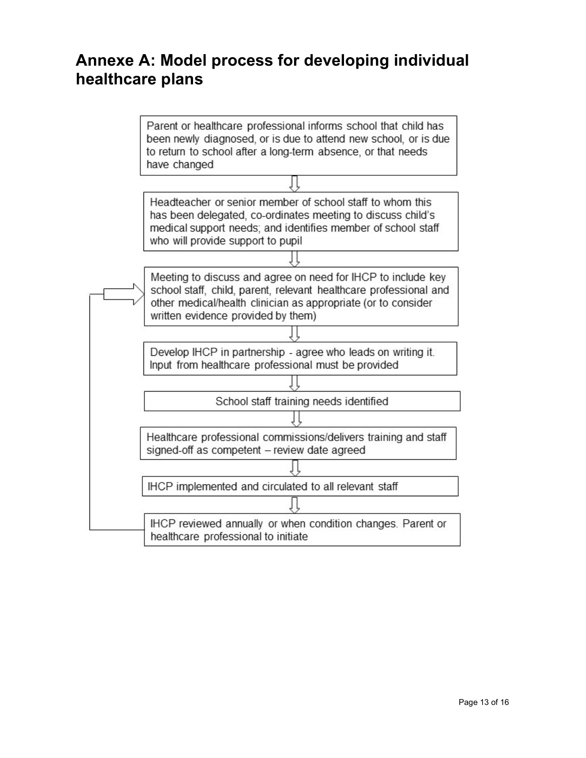# Annexe A: Model process for developing individual healthcare plans

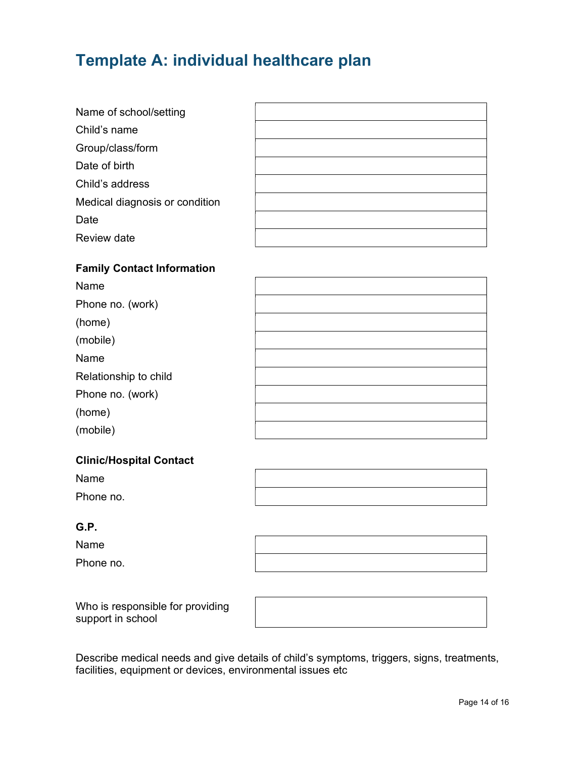# Template A: individual healthcare plan

| Name of school/setting         |  |
|--------------------------------|--|
| Child's name                   |  |
| Group/class/form               |  |
| Date of birth                  |  |
| Child's address                |  |
| Medical diagnosis or condition |  |
| Date                           |  |
| Review date                    |  |
|                                |  |

### Family Contact Information

| Name                  |  |
|-----------------------|--|
| Phone no. (work)      |  |
| (home)                |  |
| (mobile)              |  |
| Name                  |  |
| Relationship to child |  |
| Phone no. (work)      |  |
| (home)                |  |
| (mobile)              |  |
|                       |  |

#### Clinic/Hospital Contact

Name Phone no.

#### G.P.

Name

Phone no.

Who is responsible for providing support in school

Describe medical needs and give details of child's symptoms, triggers, signs, treatments, facilities, equipment or devices, environmental issues etc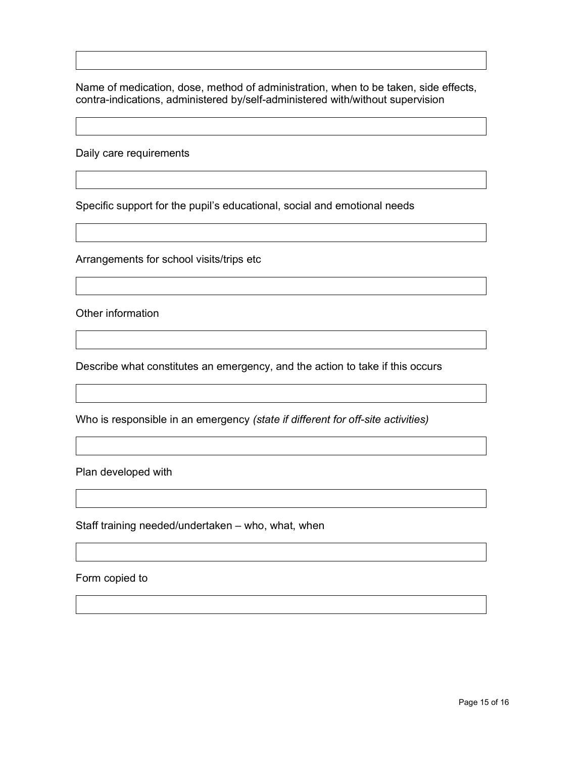Name of medication, dose, method of administration, when to be taken, side effects, contra-indications, administered by/self-administered with/without supervision

Daily care requirements

Specific support for the pupil's educational, social and emotional needs

Arrangements for school visits/trips etc

Other information

Describe what constitutes an emergency, and the action to take if this occurs

Who is responsible in an emergency (state if different for off-site activities)

Plan developed with

Staff training needed/undertaken – who, what, when

Form copied to